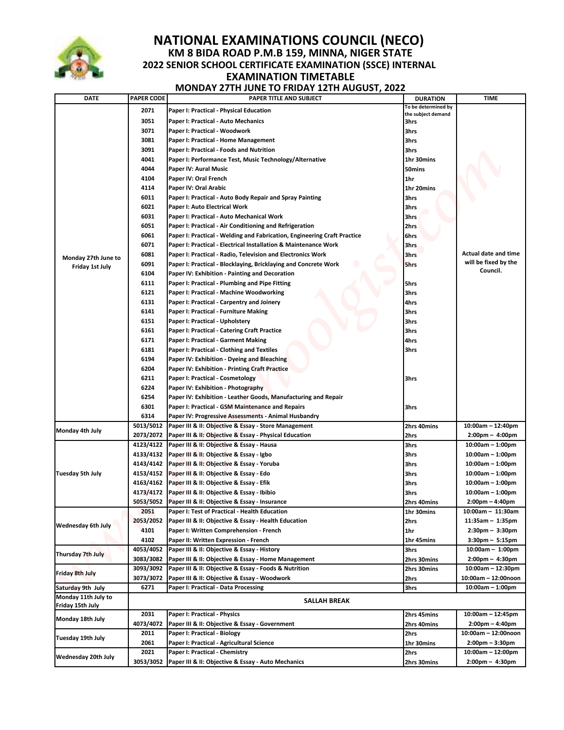

## **NATIONAL EXAMINATIONS COUNCIL (NECO) KM 8 BIDA ROAD P.M.B 159, MINNA, NIGER STATE 2022 SENIOR SCHOOL CERTIFICATE EXAMINATION (SSCE) INTERNAL EXAMINATION TIMETABLE MONDAY 27TH JUNE TO FRIDAY 12TH AUGUST, 2022**

|                                        |                                                                                            | <b>NATIONAL EXAMINATIONS COUNCIL (NECO)</b>                                                                                    |                     |                                          |  |  |  |
|----------------------------------------|--------------------------------------------------------------------------------------------|--------------------------------------------------------------------------------------------------------------------------------|---------------------|------------------------------------------|--|--|--|
|                                        |                                                                                            | KM 8 BIDA ROAD P.M.B 159, MINNA, NIGER STATE                                                                                   |                     |                                          |  |  |  |
|                                        | 2022 SENIOR SCHOOL CERTIFICATE EXAMINATION (SSCE) INTERNAL<br><b>EXAMINATION TIMETABLE</b> |                                                                                                                                |                     |                                          |  |  |  |
|                                        |                                                                                            |                                                                                                                                |                     |                                          |  |  |  |
|                                        | <b>MONDAY 27TH JUNE TO FRIDAY 12TH AUGUST, 2022</b>                                        |                                                                                                                                |                     |                                          |  |  |  |
| <b>DATE</b>                            | <b>PAPER CODE</b>                                                                          | PAPER TITLE AND SUBJECT                                                                                                        | <b>DURATION</b>     | <b>TIME</b>                              |  |  |  |
|                                        | 2071                                                                                       | Paper I: Practical - Physical Education                                                                                        | To be determined by |                                          |  |  |  |
|                                        | 3051                                                                                       |                                                                                                                                | the subject demand  |                                          |  |  |  |
|                                        | 3071                                                                                       | Paper I: Practical - Auto Mechanics<br>Paper I: Practical - Woodwork                                                           | 3hrs<br>3hrs        |                                          |  |  |  |
| Monday 27th June to<br>Friday 1st July | 3081                                                                                       | Paper I: Practical - Home Management                                                                                           | 3hrs                |                                          |  |  |  |
|                                        | 3091                                                                                       | Paper I: Practical - Foods and Nutrition                                                                                       | 3hrs                |                                          |  |  |  |
|                                        | 4041                                                                                       | Paper I: Performance Test, Music Technology/Alternative                                                                        | 1hr 30mins          |                                          |  |  |  |
|                                        | 4044                                                                                       | Paper IV: Aural Music                                                                                                          | 50mins              |                                          |  |  |  |
|                                        | 4104                                                                                       | Paper IV: Oral French                                                                                                          | 1hr                 |                                          |  |  |  |
|                                        | 4114                                                                                       | Paper IV: Oral Arabic                                                                                                          | 1hr 20mins          |                                          |  |  |  |
|                                        | 6011                                                                                       | Paper I: Practical - Auto Body Repair and Spray Painting                                                                       | 3hrs                |                                          |  |  |  |
|                                        | 6021                                                                                       | Paper I: Auto Electrical Work                                                                                                  | 3hrs                |                                          |  |  |  |
|                                        | 6031                                                                                       | Paper I: Practical - Auto Mechanical Work                                                                                      | 3hrs                |                                          |  |  |  |
|                                        | 6051                                                                                       | Paper I: Practical - Air Conditioning and Refrigeration                                                                        | 2hrs                |                                          |  |  |  |
|                                        | 6061<br>6071                                                                               | Paper I: Practical - Welding and Fabrication, Engineering Craft Practice                                                       | 6hrs                |                                          |  |  |  |
|                                        | 6081                                                                                       | Paper I: Practical - Electrical Installation & Maintenance Work<br>Paper I: Practical - Radio, Television and Electronics Work | 3hrs<br>3hrs        | Actual date and time                     |  |  |  |
|                                        | 6091                                                                                       | Paper I: Practical - Blocklaying, Bricklaying and Concrete Work                                                                | 5hrs                | will be fixed by the                     |  |  |  |
|                                        | 6104                                                                                       | Paper IV: Exhibition - Painting and Decoration                                                                                 |                     | Council.                                 |  |  |  |
|                                        | 6111                                                                                       | Paper I: Practical - Plumbing and Pipe Fitting                                                                                 | 5hrs                |                                          |  |  |  |
|                                        | 6121                                                                                       | Paper I: Practical - Machine Woodworking                                                                                       | 3hrs                |                                          |  |  |  |
|                                        | 6131                                                                                       | Paper I: Practical - Carpentry and Joinery                                                                                     | 4hrs                |                                          |  |  |  |
|                                        | 6141                                                                                       | Paper I: Practical - Furniture Making                                                                                          | 3hrs                |                                          |  |  |  |
|                                        | 6151                                                                                       | Paper I: Practical - Upholstery                                                                                                | 3hrs                |                                          |  |  |  |
|                                        | 6161                                                                                       | Paper I: Practical - Catering Craft Practice                                                                                   | 3hrs                |                                          |  |  |  |
|                                        | 6171                                                                                       | Paper I: Practical - Garment Making                                                                                            | 4hrs                |                                          |  |  |  |
|                                        | 6181                                                                                       | Paper I: Practical - Clothing and Textiles                                                                                     | 3hrs                |                                          |  |  |  |
|                                        | 6194<br>6204                                                                               | Paper IV: Exhibition - Dyeing and Bleaching                                                                                    |                     |                                          |  |  |  |
|                                        | 6211                                                                                       | Paper IV: Exhibition - Printing Craft Practice<br>Paper I: Practical - Cosmetology                                             | 3hrs                |                                          |  |  |  |
|                                        | 6224                                                                                       | Paper IV: Exhibition - Photography                                                                                             |                     |                                          |  |  |  |
|                                        | 6254                                                                                       | Paper IV: Exhibition - Leather Goods, Manufacturing and Repair                                                                 |                     |                                          |  |  |  |
|                                        | 6301                                                                                       | Paper I: Practical - GSM Maintenance and Repairs                                                                               | 3hrs                |                                          |  |  |  |
|                                        | 6314                                                                                       | Paper IV: Progressive Assessments - Animal Husbandry                                                                           |                     |                                          |  |  |  |
|                                        | 5013/5012                                                                                  | Paper III & II: Objective & Essay - Store Management                                                                           | 2hrs 40mins         | 10:00am - 12:40pm                        |  |  |  |
| Monday 4th July                        | 2073/2072                                                                                  | Paper III & II: Objective & Essay - Physical Education                                                                         | 2hrs                | $2:00 \text{pm} - 4:00 \text{pm}$        |  |  |  |
|                                        | 4123/4122                                                                                  | Paper III & II: Objective & Essay - Hausa                                                                                      | 3hrs                | $10:00am - 1:00pm$                       |  |  |  |
|                                        | 4133/4132                                                                                  | Paper III & II: Objective & Essay - Igbo                                                                                       | 3hrs                | $10:00am - 1:00pm$                       |  |  |  |
|                                        | 4143/4142                                                                                  | Paper III & II: Objective & Essay - Yoruba                                                                                     | 3hrs                | $10:00am - 1:00pm$                       |  |  |  |
| Tuesday 5th July                       | 4153/4152                                                                                  | Paper III & II: Objective & Essay - Edo                                                                                        | 3hrs                | $10:00am - 1:00pm$                       |  |  |  |
|                                        | 4163/4162<br>4173/4172                                                                     | Paper III & II: Objective & Essay - Efik<br>Paper III & II: Objective & Essay - Ibibio                                         | 3hrs<br>3hrs        | $10:00am - 1:00pm$<br>$10:00am - 1:00pm$ |  |  |  |
|                                        | 5053/5052                                                                                  | Paper III & II: Objective & Essay - Insurance                                                                                  | 2hrs 40mins         | $2:00 \text{pm} - 4:40 \text{pm}$        |  |  |  |
|                                        | 2051                                                                                       | Paper I: Test of Practical - Health Education                                                                                  | 1hr 30mins          | 10:00am - 11:30am                        |  |  |  |
|                                        | 2053/2052                                                                                  | Paper III & II: Objective & Essay - Health Education                                                                           | 2hrs                | $11:35am - 1:35pm$                       |  |  |  |
| Wednesday 6th July                     | 4101                                                                                       | Paper I: Written Comprehension - French                                                                                        | 1hr                 | $2:30pm - 3:30pm$                        |  |  |  |
|                                        | 4102                                                                                       | Paper II: Written Expression - French                                                                                          | 1hr 45mins          | $3:30$ pm $- 5:15$ pm                    |  |  |  |
|                                        | 4053/4052                                                                                  | Paper III & II: Objective & Essay - History                                                                                    | 3hrs                | $10:00am - 1:00pm$                       |  |  |  |
| Thursday 7th July                      | 3083/3082                                                                                  | Paper III & II: Objective & Essay - Home Management                                                                            | 2hrs 30mins         | $2:00 \text{pm} - 4:30 \text{pm}$        |  |  |  |
| Friday 8th July                        | 3093/3092                                                                                  | Paper III & II: Objective & Essay - Foods & Nutrition                                                                          | 2hrs 30mins         | $10:00am - 12:30pm$                      |  |  |  |
|                                        | 3073/3072                                                                                  | Paper III & II: Objective & Essay - Woodwork                                                                                   | 2hrs                | 10:00am - 12:00noon                      |  |  |  |
| Saturday 9th July                      | 6271                                                                                       | Paper I: Practical - Data Processing                                                                                           | 3hrs                | $10:00am - 1:00pm$                       |  |  |  |
| Monday 11th July to                    |                                                                                            | SALLAH BREAK                                                                                                                   |                     |                                          |  |  |  |
| Friday 15th July                       | 2031                                                                                       | Paper I: Practical - Physics                                                                                                   | 2hrs 45mins         | 10:00am - 12:45pm                        |  |  |  |
| Monday 18th July                       | 4073/4072                                                                                  | Paper III & II: Objective & Essay - Government                                                                                 | 2hrs 40mins         | $2:00 \text{pm} - 4:40 \text{pm}$        |  |  |  |
|                                        | 2011                                                                                       | Paper I: Practical - Biology                                                                                                   | 2hrs                | 10:00am - 12:00noon                      |  |  |  |
| Tuesday 19th July                      | 2061                                                                                       | Paper I: Practical - Agricultural Science                                                                                      | 1hr 30mins          | $2:00$ pm – $3:30$ pm                    |  |  |  |
|                                        |                                                                                            | Paper I: Practical - Chemistry                                                                                                 | 2hrs                | 10:00am - 12:00pm                        |  |  |  |
|                                        | 2021                                                                                       |                                                                                                                                |                     |                                          |  |  |  |
| Wednesday 20th July                    | 3053/3052                                                                                  | Paper III & II: Objective & Essay - Auto Mechanics                                                                             | 2hrs 30mins         | $2:00 \text{pm} - 4:30 \text{pm}$        |  |  |  |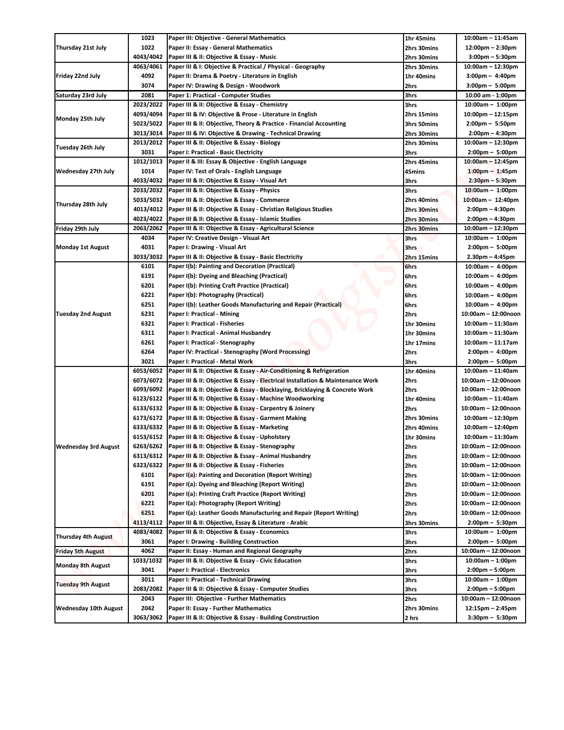|                             | 1023                   | Paper III: Objective - General Mathematics                                                         | 1hr 45mins          | $10:00am - 11:45am$                                      |
|-----------------------------|------------------------|----------------------------------------------------------------------------------------------------|---------------------|----------------------------------------------------------|
| Thursday 21st July          | 1022                   | Paper II: Essay - General Mathematics                                                              | 2hrs 30mins         | $12:00 \text{pm} - 2:30 \text{pm}$                       |
|                             | 4043/4042              | Paper III & II: Objective & Essay - Music                                                          | 2hrs 30mins         | $3:00$ pm – 5:30pm                                       |
|                             | 4063/4061              | Paper III & I: Objective & Practical / Physical - Geography                                        | 2hrs 30mins         | $10:00am - 12:30pm$                                      |
| Friday 22nd July            | 4092                   | Paper II: Drama & Poetry - Literature in English                                                   | 1hr 40mins          | $3:00 \text{pm} - 4:40 \text{pm}$                        |
|                             | 3074                   | Paper IV: Drawing & Design - Woodwork                                                              | 2hrs                | $3:00 \text{pm} - 5:00 \text{pm}$                        |
| Saturday 23rd July          | 2081                   | Paper 1: Practical - Computer Studies                                                              | 3hrs                | 10:00 am - 1:00pm                                        |
| Monday 25th July            | 2023/2022              | Paper III & II: Objective & Essay - Chemistry                                                      | 3hrs                | $10:00am - 1:00pm$                                       |
|                             | 4093/4094              | Paper III & IV: Objective & Prose - Literature in English                                          | 2hrs 15mins         | $10:00$ pm – 12:15pm                                     |
|                             | 5023/5022              | Paper III & II: Objective, Theory & Practice - Financial Accounting                                | 3hrs 50mins         | $2:00 \text{pm} - 5:50 \text{pm}$                        |
|                             | 3013/3014              | Paper III & IV: Objective & Drawing - Technical Drawing                                            | 2hrs 30mins         | $2:00 \text{pm} - 4:30 \text{pm}$                        |
| Tuesday 26th July           | 2013/2012              | Paper III & II: Objective & Essay - Biology                                                        | 2hrs 30mins         | $10:00am - 12:30pm$                                      |
|                             | 3031                   | Paper I: Practical - Basic Electricity                                                             | 3hrs                | $2:00 \text{pm} - 5:00 \text{pm}$                        |
|                             | 1012/1013              | Paper II & III: Essay & Objective - English Language                                               | 2hrs 45mins         | $10:00am - 12:45pm$                                      |
| Wednesday 27th July         | 1014                   | Paper IV: Test of Orals - English Language                                                         | 45mins              | $1:00 \text{pm} - 1:45 \text{pm}$                        |
|                             | 4033/4032<br>2033/2032 | Paper III & II: Objective & Essay - Visual Art                                                     | 3hrs                | $2:30$ pm – 5:30pm                                       |
| Thursday 28th July          | 5033/5032              | Paper III & II: Objective & Essay - Physics<br>Paper III & II: Objective & Essay - Commerce        | 3hrs<br>2hrs 40mins | $10:00am - 1:00pm$<br>$10:00am - 12:40pm$                |
|                             | 4013/4012              | Paper III & II: Objective & Essay - Christian Religious Studies                                    | 2hrs 30mins         | $2:00 \text{pm} - 4:30 \text{pm}$                        |
|                             | 4023/4022              | Paper III & II: Objective & Essay - Islamic Studies                                                | 2hrs 30mins         | $2:00 \text{pm} - 4:30 \text{pm}$                        |
| Friday 29th July            | 2063/2062              | Paper III & II: Objective & Essay - Agricultural Science                                           | 2hrs 30mins         | $10:00am - 12:30pm$                                      |
|                             | 4034                   | Paper IV: Creative Design - Visual Art                                                             | 3hrs                | $10:00am - 1:00pm$                                       |
| Monday 1st August           | 4031                   | Paper I: Drawing - Visual Art                                                                      | 3hrs                | $2:00 \text{pm} - 5:00 \text{pm}$                        |
|                             | 3033/3032              | Paper III & II: Objective & Essay - Basic Electricity                                              | 2hrs 15mins         | $2.30pm - 4:45pm$                                        |
|                             | 6101                   | Paper I(b): Painting and Decoration (Practical)                                                    | 6hrs                | $10:00am - 4:00pm$                                       |
|                             | 6191                   | Paper I(b): Dyeing and Bleaching (Practical)                                                       | 6hrs                | $10:00am - 4:00pm$                                       |
|                             | 6201                   | Paper I(b): Printing Craft Practice (Practical)                                                    | 6hrs                | $10:00am - 4:00pm$                                       |
|                             | 6221                   | Paper I(b): Photography (Practical)                                                                | 6hrs                | $10:00am - 4:00pm$                                       |
|                             | 6251                   | Paper I(b): Leather Goods Manufacturing and Repair (Practical)                                     | 6hrs                | $10:00am - 4:00pm$                                       |
| Tuesday 2nd August          | 6231                   | Paper I: Practical - Mining                                                                        | 2hrs                | 10:00am - 12:00noon                                      |
|                             | 6321                   | Paper I: Practical - Fisheries                                                                     | 1hr 30mins          | $10:00$ am - 11:30am                                     |
|                             | 6311                   | Paper I: Practical - Animal Husbandry                                                              | 1hr 30mins          | $10:00$ am - 11:30am                                     |
|                             | 6261                   | Paper I: Practical - Stenography                                                                   | 1hr 17mins          | $10:00am - 11:17am$                                      |
|                             | 6264                   | Paper IV: Practical - Stenography (Word Processing)                                                | 2hrs                | $2:00 \text{pm} - 4:00 \text{pm}$                        |
|                             | 3021                   | Paper I: Practical - Metal Work                                                                    | 3hrs                | $2:00 \text{pm} - 5:00 \text{pm}$                        |
|                             | 6053/6052              | Paper III & II: Objective & Essay - Air-Conditioning & Refrigeration                               | 1hr 40mins          | $10:00$ am - 11:40am                                     |
|                             |                        | 6073/6072 Paper III & II: Objective & Essay - Electrical Installation & Maintenance Work           | 2hrs                | 10:00am - 12:00noon                                      |
|                             |                        | 6093/6092   Paper III & II: Objective & Essay - Blocklaying, Bricklaying & Concrete Work           | 2hrs                | 10:00am - 12:00noon                                      |
|                             |                        | 6123/6122 Paper III & II: Objective & Essay - Machine Woodworking                                  | 1hr 40mins          | $10:00am - 11:40am$                                      |
|                             | 6133/6132              | Paper III & II: Objective & Essay - Carpentry & Joinery                                            | 2hrs                | 10:00am - 12:00noon                                      |
|                             | 6173/6172              | Paper III & II: Objective & Essay - Garment Making                                                 | 2hrs 30mins         | $10:00am - 12:30pm$                                      |
|                             | 6333/6332              | Paper III & II: Objective & Essay - Marketing                                                      | 2hrs 40mins         | $10:00am - 12:40pm$                                      |
|                             | 6153/6152              | Paper III & II: Objective & Essay - Upholstery                                                     | 1hr 30mins          | 10:00am - 11:30am                                        |
| <b>Wednesday 3rd August</b> | 6263/6262              | Paper III & II: Objective & Essay - Stenography                                                    | 2hrs                | 10:00am - 12:00noon                                      |
|                             | 6313/6312              | Paper III & II: Objective & Essay - Animal Husbandry                                               | 2hrs                | 10:00am - 12:00noon                                      |
|                             | 6323/6322              | Paper III & II: Objective & Essay - Fisheries                                                      | 2hrs                | 10:00am - 12:00noon                                      |
|                             | 6101                   | Paper I(a): Painting and Decoration (Report Writing)                                               | 2hrs                | 10:00am - 12:00noon                                      |
|                             | 6191                   | Paper I(a): Dyeing and Bleaching (Report Writing)                                                  | 2hrs                | 10:00am - 12:00noon                                      |
|                             | 6201                   | Paper I(a): Printing Craft Practice (Report Writing)                                               | 2hrs                | 10:00am - 12:00noon                                      |
|                             | 6221                   | Paper I(a): Photography (Report Writing)                                                           | 2hrs                | 10:00am - 12:00noon                                      |
|                             | 6251                   | Paper I(a): Leather Goods Manufacturing and Repair (Report Writing)                                | 2hrs                | 10:00am - 12:00noon                                      |
|                             | 4113/4112              | Paper III & II: Objective, Essay & Literature - Arabic                                             | 3hrs 30mins         | 2:00pm - 5:30pm                                          |
| Thursday 4th August         | 4083/4082              | Paper III & II: Objective & Essay - Economics                                                      | 3hrs                | $10:00am - 1:00pm$                                       |
|                             | 3061                   | Paper I: Drawing - Building Construction                                                           | 3hrs                | $2:00 \text{pm} - 5:00 \text{pm}$                        |
| Friday 5th August           | 4062                   | Paper II: Essay - Human and Regional Geography                                                     | 2hrs                | 10:00am - 12:00noon                                      |
| Monday 8th August           | 1033/1032              | Paper III & II: Objective & Essay - Civic Education                                                | 3hrs                | $10:00am - 1:00pm$                                       |
|                             | 3041<br>3011           | Paper I: Practical - Electronics<br>Paper I: Practical - Technical Drawing                         | 3hrs<br>3hrs        | $2:00 \text{pm} - 5:00 \text{pm}$<br>$10:00am - 1:00pm$  |
| Tuesday 9th August          | 2083/2082              |                                                                                                    |                     |                                                          |
|                             | 2043                   | Paper III & II: Objective & Essay - Computer Studies<br>Paper III: Objective - Further Mathematics | 3hrs<br>2hrs        | $2:00 \text{pm} - 5:00 \text{pm}$<br>10:00am - 12:00noon |
|                             | 2042                   | Paper II: Essay - Further Mathematics                                                              | 2hrs 30mins         | $12:15pm - 2:45pm$                                       |
|                             |                        |                                                                                                    |                     |                                                          |
| Wednesday 10th August       | 3063/3062              | Paper III & II: Objective & Essay - Building Construction                                          | 2 hrs               | $3:30$ pm - 5:30pm                                       |